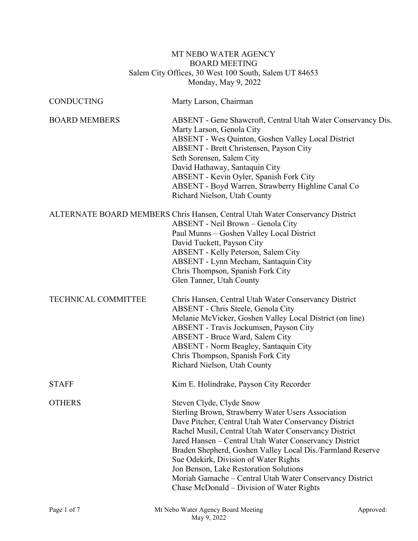# MT NEBO WATER AGENCY BOARD MEETING Salem City Offices, 30 West 100 South, Salem UT 84653 Monday, May 9, 2022

| <b>CONDUCTING</b>          | Marty Larson, Chairman                                                                                                                                                                                                                                                                                                                                                                                                                                                                                               |
|----------------------------|----------------------------------------------------------------------------------------------------------------------------------------------------------------------------------------------------------------------------------------------------------------------------------------------------------------------------------------------------------------------------------------------------------------------------------------------------------------------------------------------------------------------|
| <b>BOARD MEMBERS</b>       | ABSENT - Gene Shawcroft, Central Utah Water Conservancy Dis.<br>Marty Larson, Genola City<br>ABSENT - Wes Quinton, Goshen Valley Local District<br>ABSENT - Brett Christensen, Payson City<br>Seth Sorensen, Salem City<br>David Hathaway, Santaquin City<br>ABSENT - Kevin Oyler, Spanish Fork City<br>ABSENT - Boyd Warren, Strawberry Highline Canal Co<br>Richard Nielson, Utah County                                                                                                                           |
|                            | ALTERNATE BOARD MEMBERS Chris Hansen, Central Utah Water Conservancy District<br>ABSENT - Neil Brown - Genola City<br>Paul Munns - Goshen Valley Local District<br>David Tuckett, Payson City<br>ABSENT - Kelly Peterson, Salem City<br>ABSENT - Lynn Mecham, Santaquin City<br>Chris Thompson, Spanish Fork City<br>Glen Tanner, Utah County                                                                                                                                                                        |
| <b>TECHNICAL COMMITTEE</b> | Chris Hansen, Central Utah Water Conservancy District<br>ABSENT - Chris Steele, Genola City<br>Melanie McVicker, Goshen Valley Local District (on line)<br>ABSENT - Travis Jockumsen, Payson City<br>ABSENT - Bruce Ward, Salem City<br><b>ABSENT</b> - Norm Beagley, Santaquin City<br>Chris Thompson, Spanish Fork City<br>Richard Nielson, Utah County                                                                                                                                                            |
| <b>STAFF</b>               | Kim E. Holindrake, Payson City Recorder                                                                                                                                                                                                                                                                                                                                                                                                                                                                              |
| <b>OTHERS</b>              | Steven Clyde, Clyde Snow<br>Sterling Brown, Strawberry Water Users Association<br>Dave Pitcher, Central Utah Water Conservancy District<br>Rachel Musil, Central Utah Water Conservancy District<br>Jared Hansen - Central Utah Water Conservancy District<br>Braden Shepherd, Goshen Valley Local Dis./Farmland Reserve<br>Sue Odekirk, Division of Water Rights<br>Jon Benson, Lake Restoration Solutions<br>Moriah Gamache - Central Utah Water Conservancy District<br>Chase McDonald – Division of Water Rights |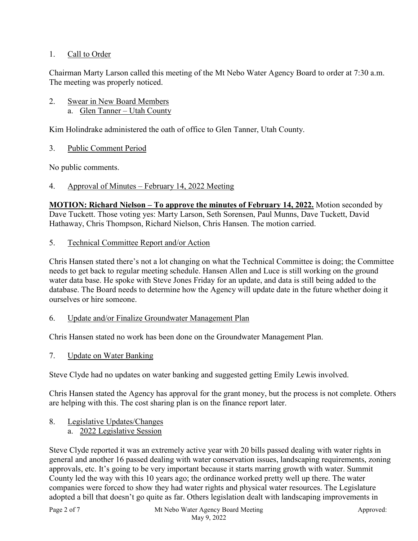# 1. Call to Order

Chairman Marty Larson called this meeting of the Mt Nebo Water Agency Board to order at 7:30 a.m. The meeting was properly noticed.

### 2. Swear in New Board Members a. Glen Tanner – Utah County

Kim Holindrake administered the oath of office to Glen Tanner, Utah County.

3. Public Comment Period

No public comments.

## 4. Approval of Minutes – February 14, 2022 Meeting

**MOTION: Richard Nielson – To approve the minutes of February 14, 2022.** Motion seconded by Dave Tuckett. Those voting yes: Marty Larson, Seth Sorensen, Paul Munns, Dave Tuckett, David Hathaway, Chris Thompson, Richard Nielson, Chris Hansen. The motion carried.

5. Technical Committee Report and/or Action

Chris Hansen stated there's not a lot changing on what the Technical Committee is doing; the Committee needs to get back to regular meeting schedule. Hansen Allen and Luce is still working on the ground water data base. He spoke with Steve Jones Friday for an update, and data is still being added to the database. The Board needs to determine how the Agency will update date in the future whether doing it ourselves or hire someone.

### 6. Update and/or Finalize Groundwater Management Plan

Chris Hansen stated no work has been done on the Groundwater Management Plan.

7. Update on Water Banking

Steve Clyde had no updates on water banking and suggested getting Emily Lewis involved.

Chris Hansen stated the Agency has approval for the grant money, but the process is not complete. Others are helping with this. The cost sharing plan is on the finance report later.

# 8. Legislative Updates/Changes

a. 2022 Legislative Session

Steve Clyde reported it was an extremely active year with 20 bills passed dealing with water rights in general and another 16 passed dealing with water conservation issues, landscaping requirements, zoning approvals, etc. It's going to be very important because it starts marring growth with water. Summit County led the way with this 10 years ago; the ordinance worked pretty well up there. The water companies were forced to show they had water rights and physical water resources. The Legislature adopted a bill that doesn't go quite as far. Others legislation dealt with landscaping improvements in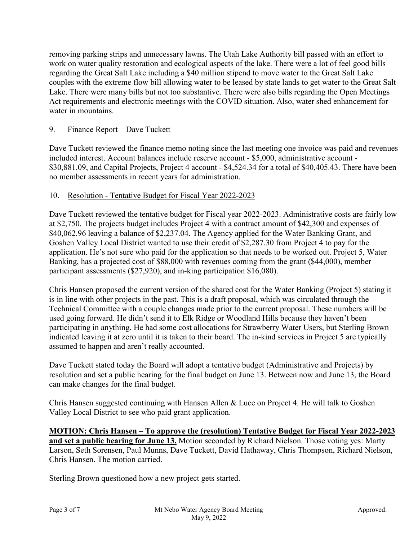removing parking strips and unnecessary lawns. The Utah Lake Authority bill passed with an effort to work on water quality restoration and ecological aspects of the lake. There were a lot of feel good bills regarding the Great Salt Lake including a \$40 million stipend to move water to the Great Salt Lake couples with the extreme flow bill allowing water to be leased by state lands to get water to the Great Salt Lake. There were many bills but not too substantive. There were also bills regarding the Open Meetings Act requirements and electronic meetings with the COVID situation. Also, water shed enhancement for water in mountains.

# 9. Finance Report – Dave Tuckett

Dave Tuckett reviewed the finance memo noting since the last meeting one invoice was paid and revenues included interest. Account balances include reserve account - \$5,000, administrative account - \$30,881.09, and Capital Projects, Project 4 account - \$4,524.34 for a total of \$40,405.43. There have been no member assessments in recent years for administration.

## 10. Resolution - Tentative Budget for Fiscal Year 2022-2023

Dave Tuckett reviewed the tentative budget for Fiscal year 2022-2023. Administrative costs are fairly low at \$2,750. The projects budget includes Project 4 with a contract amount of \$42,300 and expenses of \$40,062.96 leaving a balance of \$2,237.04. The Agency applied for the Water Banking Grant, and Goshen Valley Local District wanted to use their credit of \$2,287.30 from Project 4 to pay for the application. He's not sure who paid for the application so that needs to be worked out. Project 5, Water Banking, has a projected cost of \$88,000 with revenues coming from the grant (\$44,000), member participant assessments (\$27,920), and in-king participation \$16,080).

Chris Hansen proposed the current version of the shared cost for the Water Banking (Project 5) stating it is in line with other projects in the past. This is a draft proposal, which was circulated through the Technical Committee with a couple changes made prior to the current proposal. These numbers will be used going forward. He didn't send it to Elk Ridge or Woodland Hills because they haven't been participating in anything. He had some cost allocations for Strawberry Water Users, but Sterling Brown indicated leaving it at zero until it is taken to their board. The in-kind services in Project 5 are typically assumed to happen and aren't really accounted.

Dave Tuckett stated today the Board will adopt a tentative budget (Administrative and Projects) by resolution and set a public hearing for the final budget on June 13. Between now and June 13, the Board can make changes for the final budget.

Chris Hansen suggested continuing with Hansen Allen & Luce on Project 4. He will talk to Goshen Valley Local District to see who paid grant application.

**MOTION: Chris Hansen – To approve the (resolution) Tentative Budget for Fiscal Year 2022-2023 and set a public hearing for June 13.** Motion seconded by Richard Nielson. Those voting yes: Marty Larson, Seth Sorensen, Paul Munns, Dave Tuckett, David Hathaway, Chris Thompson, Richard Nielson, Chris Hansen. The motion carried.

Sterling Brown questioned how a new project gets started.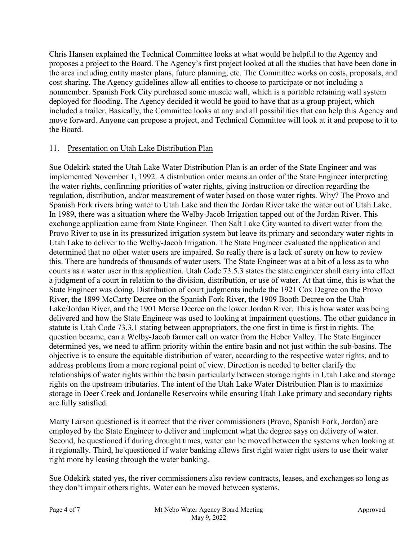Chris Hansen explained the Technical Committee looks at what would be helpful to the Agency and proposes a project to the Board. The Agency's first project looked at all the studies that have been done in the area including entity master plans, future planning, etc. The Committee works on costs, proposals, and cost sharing. The Agency guidelines allow all entities to choose to participate or not including a nonmember. Spanish Fork City purchased some muscle wall, which is a portable retaining wall system deployed for flooding. The Agency decided it would be good to have that as a group project, which included a trailer. Basically, the Committee looks at any and all possibilities that can help this Agency and move forward. Anyone can propose a project, and Technical Committee will look at it and propose to it to the Board.

# 11. Presentation on Utah Lake Distribution Plan

Sue Odekirk stated the Utah Lake Water Distribution Plan is an order of the State Engineer and was implemented November 1, 1992. A distribution order means an order of the State Engineer interpreting the water rights, confirming priorities of water rights, giving instruction or direction regarding the regulation, distribution, and/or measurement of water based on those water rights. Why? The Provo and Spanish Fork rivers bring water to Utah Lake and then the Jordan River take the water out of Utah Lake. In 1989, there was a situation where the Welby-Jacob Irrigation tapped out of the Jordan River. This exchange application came from State Engineer. Then Salt Lake City wanted to divert water from the Provo River to use in its pressurized irrigation system but leave its primary and secondary water rights in Utah Lake to deliver to the Welby-Jacob Irrigation. The State Engineer evaluated the application and determined that no other water users are impaired. So really there is a lack of surety on how to review this. There are hundreds of thousands of water users. The State Engineer was at a bit of a loss as to who counts as a water user in this application. Utah Code 73.5.3 states the state engineer shall carry into effect a judgment of a court in relation to the division, distribution, or use of water. At that time, this is what the State Engineer was doing. Distribution of court judgments include the 1921 Cox Degree on the Provo River, the 1899 McCarty Decree on the Spanish Fork River, the 1909 Booth Decree on the Utah Lake/Jordan River, and the 1901 Morse Decree on the lower Jordan River. This is how water was being delivered and how the State Engineer was used to looking at impairment questions. The other guidance in statute is Utah Code 73.3.1 stating between appropriators, the one first in time is first in rights. The question became, can a Welby-Jacob farmer call on water from the Heber Valley. The State Engineer determined yes, we need to affirm priority within the entire basin and not just within the sub-basins. The objective is to ensure the equitable distribution of water, according to the respective water rights, and to address problems from a more regional point of view. Direction is needed to better clarify the relationships of water rights within the basin particularly between storage rights in Utah Lake and storage rights on the upstream tributaries. The intent of the Utah Lake Water Distribution Plan is to maximize storage in Deer Creek and Jordanelle Reservoirs while ensuring Utah Lake primary and secondary rights are fully satisfied.

Marty Larson questioned is it correct that the river commissioners (Provo, Spanish Fork, Jordan) are employed by the State Engineer to deliver and implement what the degree says on delivery of water. Second, he questioned if during drought times, water can be moved between the systems when looking at it regionally. Third, he questioned if water banking allows first right water right users to use their water right more by leasing through the water banking.

Sue Odekirk stated yes, the river commissioners also review contracts, leases, and exchanges so long as they don't impair others rights. Water can be moved between systems.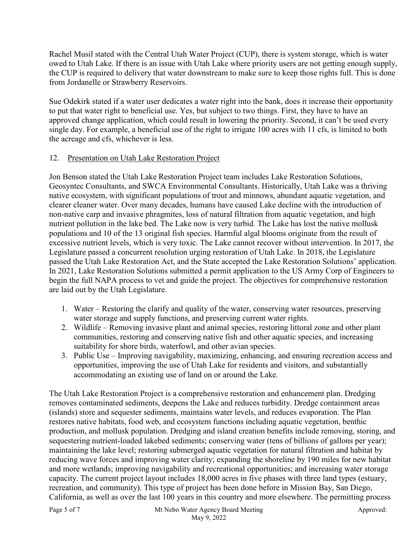Rachel Musil stated with the Central Utah Water Project (CUP), there is system storage, which is water owed to Utah Lake. If there is an issue with Utah Lake where priority users are not getting enough supply, the CUP is required to delivery that water downstream to make sure to keep those rights full. This is done from Jordanelle or Strawberry Reservoirs.

Sue Odekirk stated if a water user dedicates a water right into the bank, does it increase their opportunity to put that water right to beneficial use. Yes, but subject to two things. First, they have to have an approved change application, which could result in lowering the priority. Second, it can't be used every single day. For example, a beneficial use of the right to irrigate 100 acres with 11 cfs, is limited to both the acreage and cfs, whichever is less.

# 12. Presentation on Utah Lake Restoration Project

Jon Benson stated the Utah Lake Restoration Project team includes Lake Restoration Solutions, Geosyntec Consultants, and SWCA Environmental Consultants. Historically, Utah Lake was a thriving native ecosystem, with significant populations of trout and minnows, abundant aquatic vegetation, and clearer cleaner water. Over many decades, humans have caused Lake decline with the introduction of non-native carp and invasive phragmites, loss of natural filtration from aquatic vegetation, and high nutrient pollution in the lake bed. The Lake now is very turbid. The Lake has lost the native mollusk populations and 10 of the 13 original fish species. Harmful algal blooms originate from the result of excessive nutrient levels, which is very toxic. The Lake cannot recover without intervention. In 2017, the Legislature passed a concurrent resolution urging restoration of Utah Lake. In 2018, the Legislature passed the Utah Lake Restoration Act, and the State accepted the Lake Restoration Solutions' application. In 2021, Lake Restoration Solutions submitted a permit application to the US Army Corp of Engineers to begin the full NAPA process to vet and guide the project. The objectives for comprehensive restoration are laid out by the Utah Legislature.

- 1. Water Restoring the clarify and quality of the water, conserving water resources, preserving water storage and supply functions, and preserving current water rights.
- 2. Wildlife Removing invasive plant and animal species, restoring littoral zone and other plant communities, restoring and conserving native fish and other aquatic species, and increasing suitability for shore birds, waterfowl, and other avian species.
- 3. Public Use Improving navigability, maximizing, enhancing, and ensuring recreation access and opportunities, improving the use of Utah Lake for residents and visitors, and substantially accommodating an existing use of land on or around the Lake.

The Utah Lake Restoration Project is a comprehensive restoration and enhancement plan. Dredging removes contaminated sediments, deepens the Lake and reduces turbidity. Dredge containment areas (islands) store and sequester sediments, maintains water levels, and reduces evaporation. The Plan restores native habitats, food web, and ecosystem functions including aquatic vegetation, benthic production, and mollusk population. Dredging and island creation benefits include removing, storing, and sequestering nutrient-loaded lakebed sediments; conserving water (tens of billions of gallons per year); maintaining the lake level; restoring submerged aquatic vegetation for natural filtration and habitat by reducing wave forces and improving water clarity; expanding the shoreline by 190 miles for new habitat and more wetlands; improving navigability and recreational opportunities; and increasing water storage capacity. The current project layout includes 18,000 acres in five phases with three land types (estuary, recreation, and community). This type of project has been done before in Mission Bay, San Diego, California, as well as over the last 100 years in this country and more elsewhere. The permitting process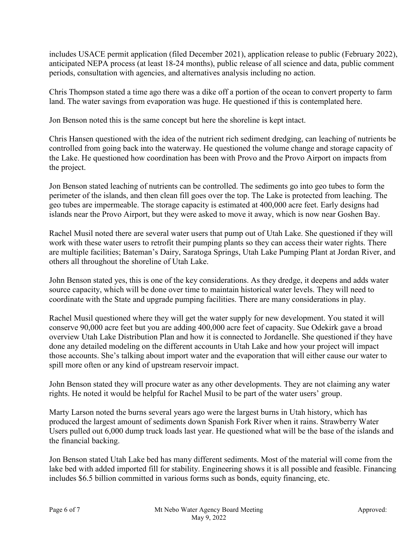includes USACE permit application (filed December 2021), application release to public (February 2022), anticipated NEPA process (at least 18-24 months), public release of all science and data, public comment periods, consultation with agencies, and alternatives analysis including no action.

Chris Thompson stated a time ago there was a dike off a portion of the ocean to convert property to farm land. The water savings from evaporation was huge. He questioned if this is contemplated here.

Jon Benson noted this is the same concept but here the shoreline is kept intact.

Chris Hansen questioned with the idea of the nutrient rich sediment dredging, can leaching of nutrients be controlled from going back into the waterway. He questioned the volume change and storage capacity of the Lake. He questioned how coordination has been with Provo and the Provo Airport on impacts from the project.

Jon Benson stated leaching of nutrients can be controlled. The sediments go into geo tubes to form the perimeter of the islands, and then clean fill goes over the top. The Lake is protected from leaching. The geo tubes are impermeable. The storage capacity is estimated at 400,000 acre feet. Early designs had islands near the Provo Airport, but they were asked to move it away, which is now near Goshen Bay.

Rachel Musil noted there are several water users that pump out of Utah Lake. She questioned if they will work with these water users to retrofit their pumping plants so they can access their water rights. There are multiple facilities; Bateman's Dairy, Saratoga Springs, Utah Lake Pumping Plant at Jordan River, and others all throughout the shoreline of Utah Lake.

John Benson stated yes, this is one of the key considerations. As they dredge, it deepens and adds water source capacity, which will be done over time to maintain historical water levels. They will need to coordinate with the State and upgrade pumping facilities. There are many considerations in play.

Rachel Musil questioned where they will get the water supply for new development. You stated it will conserve 90,000 acre feet but you are adding 400,000 acre feet of capacity. Sue Odekirk gave a broad overview Utah Lake Distribution Plan and how it is connected to Jordanelle. She questioned if they have done any detailed modeling on the different accounts in Utah Lake and how your project will impact those accounts. She's talking about import water and the evaporation that will either cause our water to spill more often or any kind of upstream reservoir impact.

John Benson stated they will procure water as any other developments. They are not claiming any water rights. He noted it would be helpful for Rachel Musil to be part of the water users' group.

Marty Larson noted the burns several years ago were the largest burns in Utah history, which has produced the largest amount of sediments down Spanish Fork River when it rains. Strawberry Water Users pulled out 6,000 dump truck loads last year. He questioned what will be the base of the islands and the financial backing.

Jon Benson stated Utah Lake bed has many different sediments. Most of the material will come from the lake bed with added imported fill for stability. Engineering shows it is all possible and feasible. Financing includes \$6.5 billion committed in various forms such as bonds, equity financing, etc.